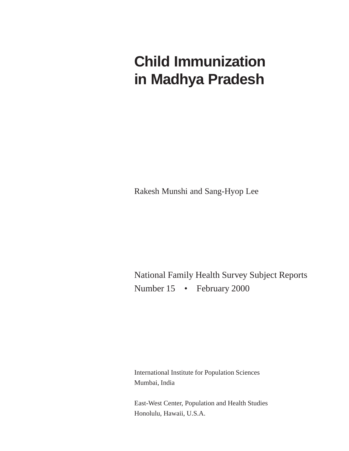# **Child Immunization in Madhya Pradesh**

Rakesh Munshi and Sang-Hyop Lee

National Family Health Survey Subject Reports Number 15 • February 2000

International Institute for Population Sciences Mumbai, India

East-West Center, Population and Health Studies Honolulu, Hawaii, U.S.A.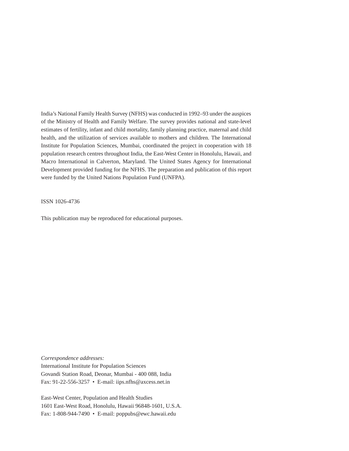India's National Family Health Survey (NFHS) was conducted in 1992–93 under the auspices of the Ministry of Health and Family Welfare. The survey provides national and state-level estimates of fertility, infant and child mortality, family planning practice, maternal and child health, and the utilization of services available to mothers and children. The International Institute for Population Sciences, Mumbai, coordinated the project in cooperation with 18 population research centres throughout India, the East-West Center in Honolulu, Hawaii, and Macro International in Calverton, Maryland. The United States Agency for International Development provided funding for the NFHS. The preparation and publication of this report were funded by the United Nations Population Fund (UNFPA).

ISSN 1026-4736

This publication may be reproduced for educational purposes.

*Correspondence addresses:* International Institute for Population Sciences

Govandi Station Road, Deonar, Mumbai - 400 088, India Fax: 91-22-556-3257 • E-mail: iips.nfhs@axcess.net.in

East-West Center, Population and Health Studies 1601 East-West Road, Honolulu, Hawaii 96848-1601, U.S.A. Fax: 1-808-944-7490 • E-mail: poppubs@ewc.hawaii.edu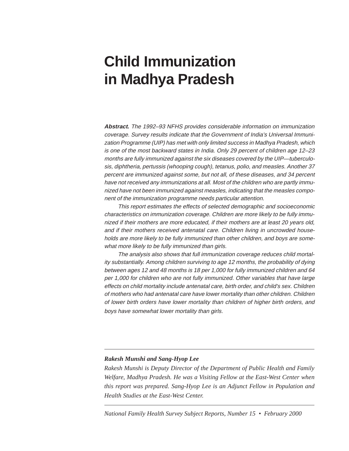# **Child Immunization in Madhya Pradesh**

**Abstract.** The 1992–93 NFHS provides considerable information on immunization coverage. Survey results indicate that the Government of India's Universal Immunization Programme (UIP) has met with only limited success in Madhya Pradesh, which is one of the most backward states in India. Only 29 percent of children age 12–23 months are fully immunized against the six diseases covered by the UIP—tuberculosis, diphtheria, pertussis (whooping cough), tetanus, polio, and measles. Another 37 percent are immunized against some, but not all, of these diseases, and 34 percent have not received any immunizations at all. Most of the children who are partly immunized have not been immunized against measles, indicating that the measles component of the immunization programme needs particular attention.

This report estimates the effects of selected demographic and socioeconomic characteristics on immunization coverage. Children are more likely to be fully immunized if their mothers are more educated, if their mothers are at least 20 years old, and if their mothers received antenatal care. Children living in uncrowded households are more likely to be fully immunized than other children, and boys are somewhat more likely to be fully immunized than girls.

The analysis also shows that full immunization coverage reduces child mortality substantially. Among children surviving to age 12 months, the probability of dying between ages 12 and 48 months is 18 per 1,000 for fully immunized children and 64 per 1,000 for children who are not fully immunized. Other variables that have large effects on child mortality include antenatal care, birth order, and child's sex. Children of mothers who had antenatal care have lower mortality than other children. Children of lower birth orders have lower mortality than children of higher birth orders, and boys have somewhat lower mortality than girls.

### *Rakesh Munshi and Sang-Hyop Lee*

*Rakesh Munshi is Deputy Director of the Department of Public Health and Family Welfare, Madhya Pradesh. He was a Visiting Fellow at the East-West Center when this report was prepared. Sang-Hyop Lee is an Adjunct Fellow in Population and Health Studies at the East-West Center.*

*National Family Health Survey Subject Reports, Number 15 • February 2000*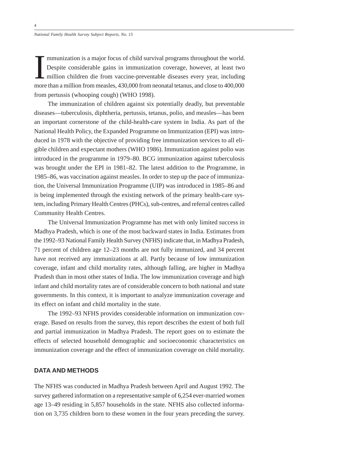mmunization is a major focus of child survival programs throughout the world.<br>Despite considerable gains in immunization coverage, however, at least two<br>million children die from vaccine-preventable diseases every year, in from pertussis (whooping cough) (WHO 1998). mmunization is a major focus of child survival programs throughout the world. Despite considerable gains in immunization coverage, however, at least two million children die from vaccine-preventable diseases every year, including

The immunization of children against six potentially deadly, but preventable diseases—tuberculosis, diphtheria, pertussis, tetanus, polio, and measles—has been an important cornerstone of the child-health-care system in India. As part of the National Health Policy, the Expanded Programme on Immunization (EPI) was introduced in 1978 with the objective of providing free immunization services to all eligible children and expectant mothers (WHO 1986). Immunization against polio was introduced in the programme in 1979–80. BCG immunization against tuberculosis was brought under the EPI in 1981–82. The latest addition to the Programme, in 1985–86, was vaccination against measles. In order to step up the pace of immunization, the Universal Immunization Programme (UIP) was introduced in 1985–86 and is being implemented through the existing network of the primary health-care system, including Primary Health Centres (PHCs), sub-centres, and referral centres called Community Health Centres.

The Universal Immunization Programme has met with only limited success in Madhya Pradesh, which is one of the most backward states in India. Estimates from the 1992–93 National Family Health Survey (NFHS) indicate that, in Madhya Pradesh, 71 percent of children age 12–23 months are not fully immunized, and 34 percent have not received any immunizations at all. Partly because of low immunization coverage, infant and child mortality rates, although falling, are higher in Madhya Pradesh than in most other states of India. The low immunization coverage and high infant and child mortality rates are of considerable concern to both national and state governments. In this context, it is important to analyze immunization coverage and its effect on infant and child mortality in the state.

The 1992–93 NFHS provides considerable information on immunization coverage. Based on results from the survey, this report describes the extent of both full and partial immunization in Madhya Pradesh. The report goes on to estimate the effects of selected household demographic and socioeconomic characteristics on immunization coverage and the effect of immunization coverage on child mortality.

## **DATA AND METHODS**

The NFHS was conducted in Madhya Pradesh between April and August 1992. The survey gathered information on a representative sample of 6,254 ever-married women age 13–49 residing in 5,857 households in the state. NFHS also collected information on 3,735 children born to these women in the four years preceding the survey.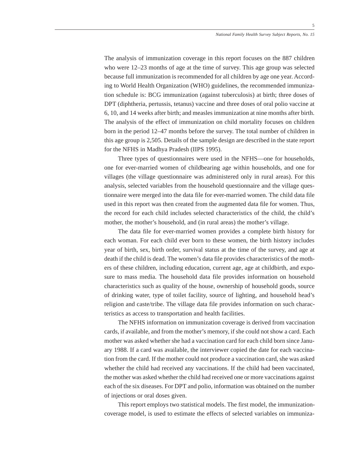The analysis of immunization coverage in this report focuses on the 887 children who were 12–23 months of age at the time of survey. This age group was selected because full immunization is recommended for all children by age one year. According to World Health Organization (WHO) guidelines, the recommended immunization schedule is: BCG immunization (against tuberculosis) at birth; three doses of DPT (diphtheria, pertussis, tetanus) vaccine and three doses of oral polio vaccine at 6, 10, and 14 weeks after birth; and measles immunization at nine months after birth. The analysis of the effect of immunization on child mortality focuses on children born in the period 12–47 months before the survey. The total number of children in this age group is 2,505. Details of the sample design are described in the state report for the NFHS in Madhya Pradesh (IIPS 1995).

Three types of questionnaires were used in the NFHS—one for households, one for ever-married women of childbearing age within households, and one for villages (the village questionnaire was administered only in rural areas). For this analysis, selected variables from the household questionnaire and the village questionnaire were merged into the data file for ever-married women. The child data file used in this report was then created from the augmented data file for women. Thus, the record for each child includes selected characteristics of the child, the child's mother, the mother's household, and (in rural areas) the mother's village.

The data file for ever-married women provides a complete birth history for each woman. For each child ever born to these women, the birth history includes year of birth, sex, birth order, survival status at the time of the survey, and age at death if the child is dead. The women's data file provides characteristics of the mothers of these children, including education, current age, age at childbirth, and exposure to mass media. The household data file provides information on household characteristics such as quality of the house, ownership of household goods, source of drinking water, type of toilet facility, source of lighting, and household head's religion and caste/tribe. The village data file provides information on such characteristics as access to transportation and health facilities.

The NFHS information on immunization coverage is derived from vaccination cards, if available, and from the mother's memory, if she could not show a card. Each mother was asked whether she had a vaccination card for each child born since January 1988. If a card was available, the interviewer copied the date for each vaccination from the card. If the mother could not produce a vaccination card, she was asked whether the child had received any vaccinations. If the child had been vaccinated, the mother was asked whether the child had received one or more vaccinations against each of the six diseases. For DPT and polio, information was obtained on the number of injections or oral doses given.

This report employs two statistical models. The first model, the immunizationcoverage model, is used to estimate the effects of selected variables on immuniza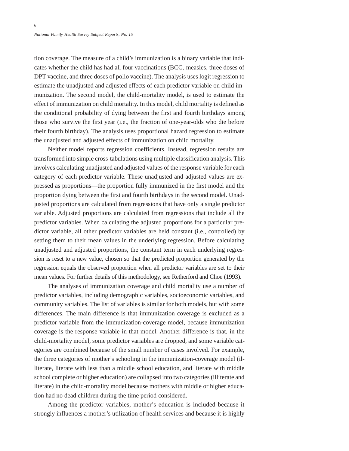tion coverage. The measure of a child's immunization is a binary variable that indicates whether the child has had all four vaccinations (BCG, measles, three doses of DPT vaccine, and three doses of polio vaccine). The analysis uses logit regression to estimate the unadjusted and adjusted effects of each predictor variable on child immunization. The second model, the child-mortality model, is used to estimate the effect of immunization on child mortality. In this model, child mortality is defined as the conditional probability of dying between the first and fourth birthdays among those who survive the first year (i.e., the fraction of one-year-olds who die before their fourth birthday). The analysis uses proportional hazard regression to estimate the unadjusted and adjusted effects of immunization on child mortality.

Neither model reports regression coefficients. Instead, regression results are transformed into simple cross-tabulations using multiple classification analysis. This involves calculating unadjusted and adjusted values of the response variable for each category of each predictor variable. These unadjusted and adjusted values are expressed as proportions—the proportion fully immunized in the first model and the proportion dying between the first and fourth birthdays in the second model. Unadjusted proportions are calculated from regressions that have only a single predictor variable. Adjusted proportions are calculated from regressions that include all the predictor variables. When calculating the adjusted proportions for a particular predictor variable, all other predictor variables are held constant (i.e., controlled) by setting them to their mean values in the underlying regression. Before calculating unadjusted and adjusted proportions, the constant term in each underlying regression is reset to a new value, chosen so that the predicted proportion generated by the regression equals the observed proportion when all predictor variables are set to their mean values. For further details of this methodology, see Retherford and Choe (1993).

The analyses of immunization coverage and child mortality use a number of predictor variables, including demographic variables, socioeconomic variables, and community variables. The list of variables is similar for both models, but with some differences. The main difference is that immunization coverage is excluded as a predictor variable from the immunization-coverage model, because immunization coverage is the response variable in that model. Another difference is that, in the child-mortality model, some predictor variables are dropped, and some variable categories are combined because of the small number of cases involved. For example, the three categories of mother's schooling in the immunization-coverage model (illiterate, literate with less than a middle school education, and literate with middle school complete or higher education) are collapsed into two categories (illiterate and literate) in the child-mortality model because mothers with middle or higher education had no dead children during the time period considered.

Among the predictor variables, mother's education is included because it strongly influences a mother's utilization of health services and because it is highly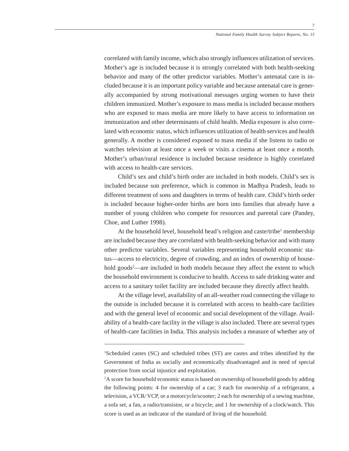correlated with family income, which also strongly influences utilization of services. Mother's age is included because it is strongly correlated with both health-seeking behavior and many of the other predictor variables. Mother's antenatal care is included because it is an important policy variable and because antenatal care is generally accompanied by strong motivational messages urging women to have their children immunized. Mother's exposure to mass media is included because mothers who are exposed to mass media are more likely to have access to information on immunization and other determinants of child health. Media exposure is also correlated with economic status, which influences utilization of health services and health generally. A mother is considered exposed to mass media if she listens to radio or watches television at least once a week or visits a cinema at least once a month. Mother's urban/rural residence is included because residence is highly correlated with access to health-care services.

Child's sex and child's birth order are included in both models. Child's sex is included because son preference, which is common in Madhya Pradesh, leads to different treatment of sons and daughters in terms of health care. Child's birth order is included because higher-order births are born into families that already have a number of young children who compete for resources and parental care (Pandey, Choe, and Luther 1998).

At the household level, household head's religion and caste/tribe<sup>1</sup> membership are included because they are correlated with health-seeking behavior and with many other predictor variables. Several variables representing household economic status—access to electricity, degree of crowding, and an index of ownership of household goods<sup>2</sup>—are included in both models because they affect the extent to which the household environment is conducive to health. Access to safe drinking water and access to a sanitary toilet facility are included because they directly affect health.

At the village level, availability of an all-weather road connecting the village to the outside is included because it is correlated with access to health-care facilities and with the general level of economic and social development of the village. Availability of a health-care facility in the village is also included. There are several types of health-care facilities in India. This analysis includes a measure of whether any of

<sup>&</sup>lt;sup>1</sup>Scheduled castes (SC) and scheduled tribes (ST) are castes and tribes identified by the Government of India as socially and economically disadvantaged and in need of special protection from social injustice and exploitation.

<sup>2</sup> A score for household economic status is based on ownership of household goods by adding the following points: 4 for ownership of a car; 3 each for ownership of a refrigerator, a television, a VCR/ VCP, or a motorcycle/scooter; 2 each for ownership of a sewing machine, a sofa set, a fan, a radio/transistor, or a bicycle; and 1 for ownership of a clock/watch. This score is used as an indicator of the standard of living of the household.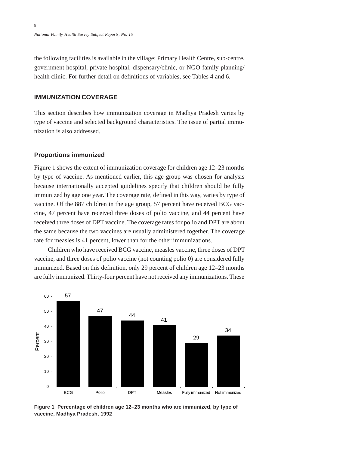the following facilities is available in the village: Primary Health Centre, sub-centre, government hospital, private hospital, dispensary/clinic, or NGO family planning/ health clinic. For further detail on definitions of variables, see Tables 4 and 6.

## **IMMUNIZATION COVERAGE**

This section describes how immunization coverage in Madhya Pradesh varies by type of vaccine and selected background characteristics. The issue of partial immunization is also addressed.

### **Proportions immunized**

Figure 1 shows the extent of immunization coverage for children age 12–23 months by type of vaccine. As mentioned earlier, this age group was chosen for analysis because internationally accepted guidelines specify that children should be fully immunized by age one year. The coverage rate, defined in this way, varies by type of vaccine. Of the 887 children in the age group, 57 percent have received BCG vaccine, 47 percent have received three doses of polio vaccine, and 44 percent have received three doses of DPT vaccine. The coverage rates for polio and DPT are about the same because the two vaccines are usually administered together. The coverage rate for measles is 41 percent, lower than for the other immunizations.

Children who have received BCG vaccine, measles vaccine, three doses of DPT vaccine, and three doses of polio vaccine (not counting polio 0) are considered fully immunized. Based on this definition, only 29 percent of children age 12–23 months are fully immunized. Thirty-four percent have not received any immunizations. These



**Figure 1 Percentage of children age 12–23 months who are immunized, by type of vaccine, Madhya Pradesh, 1992**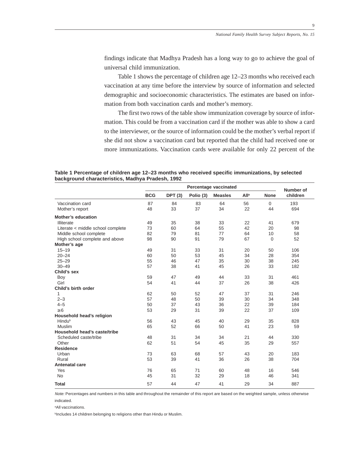findings indicate that Madhya Pradesh has a long way to go to achieve the goal of universal child immunization.

Table 1 shows the percentage of children age 12–23 months who received each vaccination at any time before the interview by source of information and selected demographic and socioeconomic characteristics. The estimates are based on information from both vaccination cards and mother's memory.

The first two rows of the table show immunization coverage by source of information. This could be from a vaccination card if the mother was able to show a card to the interviewer, or the source of information could be the mother's verbal report if she did not show a vaccination card but reported that the child had received one or more immunizations. Vaccination cards were available for only 22 percent of the

**Table 1 Percentage of children age 12–23 months who received specific immunizations, by selected background characteristics, Madhya Pradesh, 1992**

|                                   | Percentage vaccinated |                |           |                | Number of   |             |          |
|-----------------------------------|-----------------------|----------------|-----------|----------------|-------------|-------------|----------|
|                                   | <b>BCG</b>            | <b>DPT (3)</b> | Polio (3) | <b>Measles</b> | <b>Alla</b> | <b>None</b> | children |
| Vaccination card                  | 87                    | 84             | 83        | 64             | 56          | $\mathbf 0$ | 193      |
| Mother's report                   | 48                    | 33             | 37        | 34             | 22          | 44          | 694      |
| <b>Mother's education</b>         |                       |                |           |                |             |             |          |
| Illiterate                        | 49                    | 35             | 38        | 33             | 22          | 41          | 679      |
| Literate < middle school complete | 73                    | 60             | 64        | 55             | 42          | 20          | 98       |
| Middle school complete            | 82                    | 79             | 81        | 77             | 64          | 10          | 58       |
| High school complete and above    | 98                    | 90             | 91        | 79             | 67          | $\mathbf 0$ | 52       |
| Mother's age                      |                       |                |           |                |             |             |          |
| $15 - 19$                         | 49                    | 31             | 33        | 31             | 20          | 50          | 106      |
| $20 - 24$                         | 60                    | 50             | 53        | 45             | 34          | 28          | 354      |
| $25 - 29$                         | 55                    | 46             | 47        | 35             | 30          | 38          | 245      |
| $30 - 49$                         | 57                    | 38             | 41        | 45             | 26          | 33          | 182      |
| Child's sex                       |                       |                |           |                |             |             |          |
| Boy                               | 59                    | 47             | 49        | 44             | 33          | 31          | 461      |
| Girl                              | 54                    | 41             | 44        | 37             | 26          | 38          | 426      |
| Child's birth order               |                       |                |           |                |             |             |          |
| 1                                 | 62                    | 50             | 52        | 47             | 37          | 31          | 246      |
| $2 - 3$                           | 57                    | 48             | 50        | 39             | 30          | 34          | 348      |
| $4 - 5$                           | 50                    | 37             | 43        | 36             | 22          | 39          | 184      |
| $\geq 6$                          | 53                    | 29             | 31        | 39             | 22          | 37          | 109      |
| Household head's religion         |                       |                |           |                |             |             |          |
| Hindub                            | 56                    | 43             | 45        | 40             | 29          | 35          | 828      |
| Muslim                            | 65                    | 52             | 66        | 50             | 41          | 23          | 59       |
| Household head's caste/tribe      |                       |                |           |                |             |             |          |
| Scheduled caste/tribe             | 48                    | 31             | 34        | 34             | 21          | 44          | 330      |
| Other                             | 62                    | 51             | 54        | 45             | 35          | 29          | 557      |
| <b>Residence</b>                  |                       |                |           |                |             |             |          |
| Urban                             | 73                    | 63             | 68        | 57             | 43          | 20          | 183      |
| Rural                             | 53                    | 39             | 41        | 36             | 26          | 38          | 704      |
| Antenatal care                    |                       |                |           |                |             |             |          |
| Yes                               | 76                    | 65             | 71        | 60             | 48          | 16          | 546      |
| <b>No</b>                         | 45                    | 31             | 32        | 29             | 18          | 46          | 341      |
| <b>Total</b>                      | 57                    | 44             | 47        | 41             | 29          | 34          | 887      |

Note: Percentages and numbers in this table and throughout the remainder of this report are based on the weighted sample, unless otherwise indicated.

aAll vaccinations.

**bIncludes 14 children belonging to religions other than Hindu or Muslim.**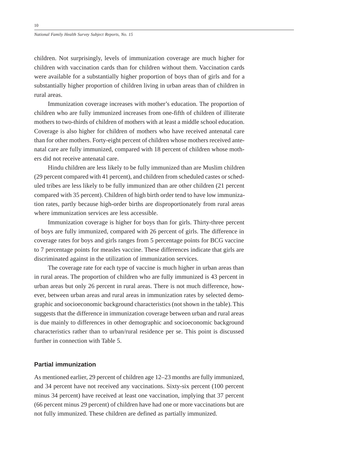children. Not surprisingly, levels of immunization coverage are much higher for children with vaccination cards than for children without them. Vaccination cards were available for a substantially higher proportion of boys than of girls and for a substantially higher proportion of children living in urban areas than of children in rural areas.

Immunization coverage increases with mother's education. The proportion of children who are fully immunized increases from one-fifth of children of illiterate mothers to two-thirds of children of mothers with at least a middle school education. Coverage is also higher for children of mothers who have received antenatal care than for other mothers. Forty-eight percent of children whose mothers received antenatal care are fully immunized, compared with 18 percent of children whose mothers did not receive antenatal care.

Hindu children are less likely to be fully immunized than are Muslim children (29 percent compared with 41 percent), and children from scheduled castes or scheduled tribes are less likely to be fully immunized than are other children (21 percent compared with 35 percent). Children of high birth order tend to have low immunization rates, partly because high-order births are disproportionately from rural areas where immunization services are less accessible.

Immunization coverage is higher for boys than for girls. Thirty-three percent of boys are fully immunized, compared with 26 percent of girls. The difference in coverage rates for boys and girls ranges from 5 percentage points for BCG vaccine to 7 percentage points for measles vaccine. These differences indicate that girls are discriminated against in the utilization of immunization services.

The coverage rate for each type of vaccine is much higher in urban areas than in rural areas. The proportion of children who are fully immunized is 43 percent in urban areas but only 26 percent in rural areas. There is not much difference, however, between urban areas and rural areas in immunization rates by selected demographic and socioeconomic background characteristics (not shown in the table). This suggests that the difference in immunization coverage between urban and rural areas is due mainly to differences in other demographic and socioeconomic background characteristics rather than to urban/rural residence per se. This point is discussed further in connection with Table 5.

## **Partial immunization**

As mentioned earlier, 29 percent of children age 12–23 months are fully immunized, and 34 percent have not received any vaccinations. Sixty-six percent (100 percent minus 34 percent) have received at least one vaccination, implying that 37 percent (66 percent minus 29 percent) of children have had one or more vaccinations but are not fully immunized. These children are defined as partially immunized.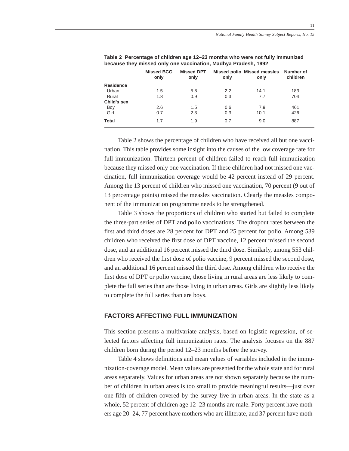|                  | <b>Missed BCG</b><br>only | <b>Missed DPT</b><br>only | only | Missed polio Missed measles<br>only | Number of<br>children |
|------------------|---------------------------|---------------------------|------|-------------------------------------|-----------------------|
| <b>Residence</b> |                           |                           |      |                                     |                       |
| Urban            | 1.5                       | 5.8                       | 2.2  | 14.1                                | 183                   |
| Rural            | 1.8                       | 0.9                       | 0.3  | 7.7                                 | 704                   |
| Child's sex      |                           |                           |      |                                     |                       |
| Boy              | 2.6                       | 1.5                       | 0.6  | 7.9                                 | 461                   |
| Girl             | 0.7                       | 2.3                       | 0.3  | 10.1                                | 426                   |
| <b>Total</b>     | 1.7                       | 1.9                       | 0.7  | 9.0                                 | 887                   |
|                  |                           |                           |      |                                     |                       |

**Table 2 Percentage of children age 12–23 months who were not fully immunized because they missed only one vaccination, Madhya Pradesh, 1992**

Table 2 shows the percentage of children who have received all but one vaccination. This table provides some insight into the causes of the low coverage rate for full immunization. Thirteen percent of children failed to reach full immunization because they missed only one vaccination. If these children had not missed one vaccination, full immunization coverage would be 42 percent instead of 29 percent. Among the 13 percent of children who missed one vaccination, 70 percent (9 out of 13 percentage points) missed the measles vaccination. Clearly the measles component of the immunization programme needs to be strengthened.

Table 3 shows the proportions of children who started but failed to complete the three-part series of DPT and polio vaccinations. The dropout rates between the first and third doses are 28 percent for DPT and 25 percent for polio. Among 539 children who received the first dose of DPT vaccine, 12 percent missed the second dose, and an additional 16 percent missed the third dose. Similarly, among 553 children who received the first dose of polio vaccine, 9 percent missed the second dose, and an additional 16 percent missed the third dose. Among children who receive the first dose of DPT or polio vaccine, those living in rural areas are less likely to complete the full series than are those living in urban areas. Girls are slightly less likely to complete the full series than are boys.

## **FACTORS AFFECTING FULL IMMUNIZATION**

This section presents a multivariate analysis, based on logistic regression, of selected factors affecting full immunization rates. The analysis focuses on the 887 children born during the period 12–23 months before the survey.

Table 4 shows definitions and mean values of variables included in the immunization-coverage model. Mean values are presented for the whole state and for rural areas separately. Values for urban areas are not shown separately because the number of children in urban areas is too small to provide meaningful results—just over one-fifth of children covered by the survey live in urban areas. In the state as a whole, 52 percent of children age 12–23 months are male. Forty percent have mothers age 20–24, 77 percent have mothers who are illiterate, and 37 percent have moth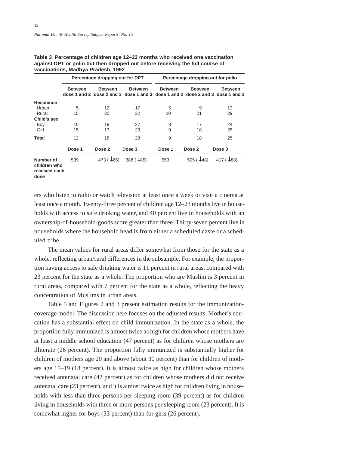12

|                                                    | Percentage dropping out for DPT |                   | Percentage dropping out for polio |                |                   |                                                                                                 |
|----------------------------------------------------|---------------------------------|-------------------|-----------------------------------|----------------|-------------------|-------------------------------------------------------------------------------------------------|
|                                                    | <b>Between</b>                  | <b>Between</b>    | <b>Between</b>                    | <b>Between</b> | <b>Between</b>    | <b>Between</b><br>dose 1 and 2 dose 2 and 3 dose 1 and 3 dose 1 and 2 dose 2 and 3 dose 1 and 3 |
| <b>Residence</b>                                   |                                 |                   |                                   |                |                   |                                                                                                 |
| Urban                                              | 5                               | 12                | 17                                | 5              | 9                 | 13                                                                                              |
| Rural                                              | 15                              | 20                | 32                                | 10             | 21                | 29                                                                                              |
| Child's sex                                        |                                 |                   |                                   |                |                   |                                                                                                 |
| Boy                                                | 10                              | 19                | 27                                | 8              | 17                | 24                                                                                              |
| Girl                                               | 15                              | 17                | 29                                | 9              | 18                | 25                                                                                              |
| <b>Total</b>                                       | 12                              | 18                | 28                                | 9              | 18                | 25                                                                                              |
|                                                    | Dose 1                          | Dose 2            | Dose 3                            | Dose 1         | Dose 2            | Dose 3                                                                                          |
| Number of<br>children who<br>received each<br>dose | 539                             | 473 $(\sqrt{66})$ | 388 $(\sqrt{85})$                 | 553            | 505 $(\sqrt{48})$ | 417 $(\sqrt{88})$                                                                               |

**Table 3 Percentage of children age 12–23 months who received one vaccination against DPT or polio but then dropped out before receiving the full course of vaccinations, Madhya Pradesh, 1992**

ers who listen to radio or watch television at least once a week or visit a cinema at least once a month. Twenty-three percent of children age 12–23 months live in households with access to safe drinking water, and 40 percent live in households with an ownership-of-household-goods score greater than three. Thirty-seven percent live in households where the household head is from either a scheduled caste or a scheduled tribe.

The mean values for rural areas differ somewhat from those for the state as a whole, reflecting urban/rural differences in the subsample. For example, the proportion having access to safe drinking water is 11 percent in rural areas, compared with 23 percent for the state as a whole. The proportion who are Muslim is 3 percent in rural areas, compared with 7 percent for the state as a whole, reflecting the heavy concentration of Muslims in urban areas.

Table 5 and Figures 2 and 3 present estimation results for the immunizationcoverage model. The discussion here focuses on the adjusted results. Mother's education has a substantial effect on child immunization. In the state as a whole, the proportion fully immunized is almost twice as high for children whose mothers have at least a middle school education (47 percent) as for children whose mothers are illiterate (26 percent). The proportion fully immunized is substantially higher for children of mothers age 20 and above (about 30 percent) than for children of mothers age 15–19 (18 percent). It is almost twice as high for children whose mothers received antenatal care (42 percent) as for children whose mothers did not receive antenatal care (23 percent), and it is almost twice as high for children living in households with less than three persons per sleeping room (39 percent) as for children living in households with three or more persons per sleeping room (23 percent). It is somewhat higher for boys (33 percent) than for girls (26 percent).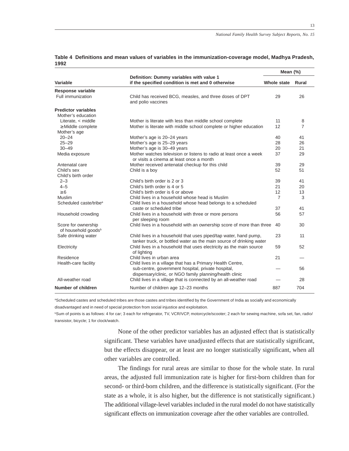|                                                        |                                                                                                                                         | Mean (%)       |                |  |
|--------------------------------------------------------|-----------------------------------------------------------------------------------------------------------------------------------------|----------------|----------------|--|
| Variable                                               | Definition: Dummy variables with value 1<br>if the specified condition is met and 0 otherwise                                           | Whole state    | Rural          |  |
| <b>Response variable</b>                               |                                                                                                                                         |                |                |  |
| Full immunization                                      | Child has received BCG, measles, and three doses of DPT<br>and polio vaccines                                                           | 29             | 26             |  |
| <b>Predictor variables</b>                             |                                                                                                                                         |                |                |  |
| Mother's education                                     |                                                                                                                                         |                |                |  |
| Literate, < middle                                     | Mother is literate with less than middle school complete                                                                                | 11             | 8              |  |
| $\geq$ Middle complete                                 | Mother is literate with middle school complete or higher education                                                                      | 12             | $\overline{7}$ |  |
| Mother's age                                           |                                                                                                                                         |                |                |  |
| $20 - 24$                                              | Mother's age is 20-24 years                                                                                                             | 40             | 41             |  |
| $25 - 29$                                              | Mother's age is 25-29 years                                                                                                             | 28             | 26             |  |
| $30 - 49$                                              | Mother's age is 30-49 years                                                                                                             | 20             | 21             |  |
| Media exposure                                         | Mother watches television or listens to radio at least once a week                                                                      | 37             | 29             |  |
|                                                        | or visits a cinema at least once a month                                                                                                |                |                |  |
| Antenatal care                                         | Mother received antenatal checkup for this child                                                                                        | 39             | 29             |  |
| Child's sex                                            | Child is a boy                                                                                                                          | 52             | 51             |  |
| Child's birth order                                    |                                                                                                                                         |                |                |  |
| $2 - 3$                                                | Child's birth order is 2 or 3                                                                                                           | 39             | 41             |  |
| $4 - 5$                                                | Child's birth order is 4 or 5                                                                                                           | 21             | 20             |  |
| $\geq 6$                                               | Child's birth order is 6 or above                                                                                                       | 12             | 13             |  |
| Muslim                                                 | Child lives in a household whose head is Muslim                                                                                         | $\overline{7}$ | 3              |  |
| Scheduled caste/tribe <sup>a</sup>                     | Child lives in a household whose head belongs to a scheduled                                                                            |                |                |  |
|                                                        | caste or scheduled tribe                                                                                                                | 37             | 41             |  |
| Household crowding                                     | Child lives in a household with three or more persons<br>per sleeping room                                                              | 56             | 57             |  |
| Score for ownership<br>of household goods <sup>b</sup> | Child lives in a household with an ownership score of more than three                                                                   | 40             | 30             |  |
| Safe drinking water                                    | Child lives in a household that uses piped/tap water, hand pump,<br>tanker truck, or bottled water as the main source of drinking water | 23             | 11             |  |
| Electricity                                            | Child lives in a household that uses electricity as the main source<br>of lighting                                                      | 59             | 52             |  |
| Residence                                              | Child lives in urban area                                                                                                               | 21             |                |  |
| Health-care facility                                   | Child lives in a village that has a Primary Health Centre,                                                                              |                |                |  |
|                                                        | sub-centre, government hospital, private hospital,<br>dispensary/clinic, or NGO family planning/health clinic                           |                | 56             |  |
| All-weather road                                       | Child lives in a village that is connected by an all-weather road                                                                       |                | 28             |  |
| Number of children                                     | Number of children age 12-23 months                                                                                                     | 887            | 704            |  |

#### **Table 4 Definitions and mean values of variables in the immunization-coverage model, Madhya Pradesh, 1992**

aScheduled castes and scheduled tribes are those castes and tribes identified by the Government of India as socially and economically

disadvantaged and in need of special protection from social injustice and exploitation.

b Sum of points is as follows: 4 for car; 3 each for refrigerator, TV, VCR/VCP, motorcycle/scooter; 2 each for sewing machine, sofa set, fan, radio/ transistor, bicycle; 1 for clock/watch.

> None of the other predictor variables has an adjusted effect that is statistically significant. These variables have unadjusted effects that are statistically significant, but the effects disappear, or at least are no longer statistically significant, when all other variables are controlled.

> The findings for rural areas are similar to those for the whole state. In rural areas, the adjusted full immunization rate is higher for first-born children than for second- or third-born children, and the difference is statistically significant. (For the state as a whole, it is also higher, but the difference is not statistically significant.) The additional village-level variables included in the rural model do not have statistically significant effects on immunization coverage after the other variables are controlled.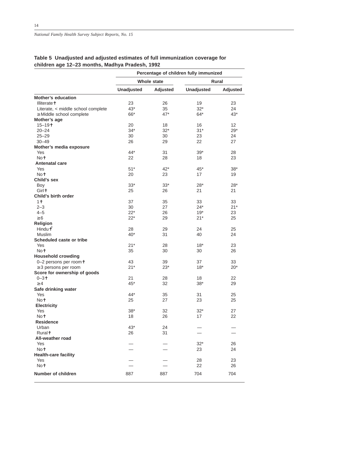|                                    | Percentage of children fully immunized |          |                   |                 |  |
|------------------------------------|----------------------------------------|----------|-------------------|-----------------|--|
|                                    | <b>Whole state</b>                     |          | Rural             |                 |  |
|                                    | <b>Unadjusted</b>                      | Adjusted | <b>Unadjusted</b> | <b>Adjusted</b> |  |
| <b>Mother's education</b>          |                                        |          |                   |                 |  |
| <b>Illiteratet</b>                 | 23                                     | 26       | 19                | 23              |  |
| Literate, < middle school complete | $43*$                                  | 35       | $32*$             | 24              |  |
| $\geq$ Middle school complete      | 66*                                    | $47*$    | $64*$             | $43*$           |  |
| Mother's age                       |                                        |          |                   |                 |  |
| $15 - 19$ <sup>+</sup>             | 20                                     | 18       | 16                | 12 <sup>2</sup> |  |
| $20 - 24$                          | $34*$                                  | $32*$    | $31*$             | $29*$           |  |
| $25 - 29$                          | 30                                     | 30       | 23                | 24              |  |
| $30 - 49$                          | 26                                     | 29       | 22                | 27              |  |
| Mother's media exposure            |                                        |          |                   |                 |  |
| Yes                                | 44*                                    | 31       | $39*$             | 28              |  |
| Not                                | 22                                     | 28       | 18                | 23              |  |
| <b>Antenatal care</b>              |                                        |          |                   |                 |  |
| Yes                                | $51*$                                  | $42*$    | $45*$             | $38*$           |  |
| Not                                | 20                                     | 23       | 17                | 19              |  |
| Child's sex                        |                                        |          |                   |                 |  |
| Boy                                | $33*$                                  | $33*$    | $28*$             | $28*$           |  |
| Girl <sup>+</sup>                  | 25                                     | 26       | 21                | 21              |  |
| Child's birth order                |                                        |          |                   |                 |  |
| 1 <sup>†</sup>                     | 37                                     | 35       | 33                | 33              |  |
| $2 - 3$                            | 30                                     | 27       | $24*$             | $21*$           |  |
| $4 - 5$                            | $22*$                                  | 26       | $19*$             | 23              |  |
| $\geq 6$                           | $22*$                                  | 29       | $21*$             | 25              |  |
| Religion                           |                                        |          |                   |                 |  |
| Hindu <sup>4</sup>                 | 28                                     | 29       | 24                | 25              |  |
| <b>Muslim</b>                      | $40*$                                  | 31       | 40                | 24              |  |
| Scheduled caste or tribe           |                                        |          |                   |                 |  |
| Yes                                | $21*$                                  | 28       | $18*$             | 23              |  |
| Not                                | 35                                     | 30       | 30                | 26              |  |
| <b>Household crowding</b>          |                                        |          |                   |                 |  |
| 0-2 persons per roomt              | 43                                     | 39       | 37                | 33              |  |
| $\geq$ 3 persons per room          | $21*$                                  | $23*$    | $18*$             | $20*$           |  |
| Score for ownership of goods       |                                        |          |                   |                 |  |
| $0 - 3 +$                          | 21                                     | 28       | 18                | 22              |  |
| $\geq 4$                           | $45*$                                  | 32       | $38*$             | 29              |  |
| Safe drinking water                | 44*                                    |          |                   |                 |  |
| Yes<br>Not                         |                                        | 35<br>27 | 31                | 25              |  |
| <b>Electricity</b>                 | 25                                     |          | 23                | 25              |  |
| Yes                                | $38*$                                  | 32       | 32*               | 27              |  |
| Not                                | 18                                     | 26       | 17                | 22              |  |
| <b>Residence</b>                   |                                        |          |                   |                 |  |
| Urban                              | $43*$                                  | 24       |                   |                 |  |
| <b>Ruralt</b>                      | 26                                     | 31       |                   |                 |  |
| All-weather road                   |                                        |          |                   |                 |  |
| Yes                                |                                        |          | $32*$             | 26              |  |
| Not                                |                                        |          | 23                | 24              |  |
| <b>Health-care facility</b>        |                                        |          |                   |                 |  |
| Yes                                |                                        |          | 28                | 23              |  |
| Not                                |                                        |          | 22                | 26              |  |
| Number of children                 |                                        |          |                   |                 |  |
|                                    | 887                                    | 887      | 704               | 704             |  |

## **Table 5 Unadjusted and adjusted estimates of full immunization coverage for children age 12–23 months, Madhya Pradesh, 1992**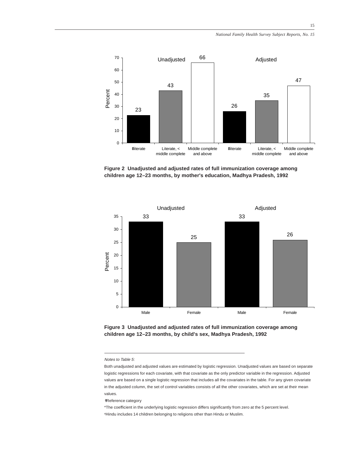

**Figure 2 Unadjusted and adjusted rates of full immunization coverage among children age 12–23 months, by mother's education, Madhya Pradesh, 1992**



**Figure 3 Unadjusted and adjusted rates of full immunization coverage among children age 12–23 months, by child's sex, Madhya Pradesh, 1992**

✝Reference category

\*The coefficient in the underlying logistic regression differs significantly from zero at the 5 percent level. <sup>a</sup>Hindu includes 14 children belonging to religions other than Hindu or Muslim.

Notes to Table 5:

Both unadjusted and adjusted values are estimated by logistic regression. Unadjusted values are based on separate logistic regressions for each covariate, with that covariate as the only predictor variable in the regression. Adjusted values are based on a single logistic regression that includes all the covariates in the table. For any given covariate in the adjusted column, the set of control variables consists of all the other covariates, which are set at their mean values.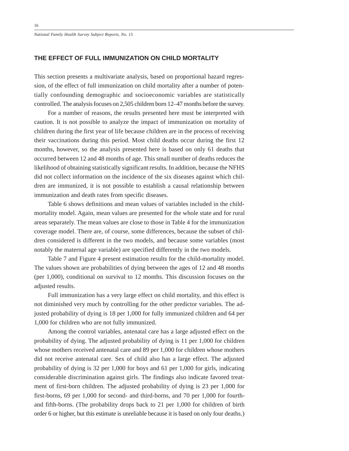## **THE EFFECT OF FULL IMMUNIZATION ON CHILD MORTALITY**

This section presents a multivariate analysis, based on proportional hazard regression, of the effect of full immunization on child mortality after a number of potentially confounding demographic and socioeconomic variables are statistically controlled. The analysis focuses on 2,505 children born 12–47 months before the survey.

For a number of reasons, the results presented here must be interpreted with caution. It is not possible to analyze the impact of immunization on mortality of children during the first year of life because children are in the process of receiving their vaccinations during this period. Most child deaths occur during the first 12 months, however, so the analysis presented here is based on only 61 deaths that occurred between 12 and 48 months of age. This small number of deaths reduces the likelihood of obtaining statistically significant results. In addition, because the NFHS did not collect information on the incidence of the six diseases against which children are immunized, it is not possible to establish a causal relationship between immunization and death rates from specific diseases.

Table 6 shows definitions and mean values of variables included in the childmortality model. Again, mean values are presented for the whole state and for rural areas separately. The mean values are close to those in Table 4 for the immunization coverage model. There are, of course, some differences, because the subset of children considered is different in the two models, and because some variables (most notably the maternal age variable) are specified differently in the two models.

Table 7 and Figure 4 present estimation results for the child-mortality model. The values shown are probabilities of dying between the ages of 12 and 48 months (per 1,000), conditional on survival to 12 months. This discussion focuses on the adjusted results.

Full immunization has a very large effect on child mortality, and this effect is not diminished very much by controlling for the other predictor variables. The adjusted probability of dying is 18 per 1,000 for fully immunized children and 64 per 1,000 for children who are not fully immunized.

Among the control variables, antenatal care has a large adjusted effect on the probability of dying. The adjusted probability of dying is 11 per 1,000 for children whose mothers received antenatal care and 89 per 1,000 for children whose mothers did not receive antenatal care. Sex of child also has a large effect. The adjusted probability of dying is 32 per 1,000 for boys and 61 per 1,000 for girls, indicating considerable discrimination against girls. The findings also indicate favored treatment of first-born children. The adjusted probability of dying is 23 per 1,000 for first-borns, 69 per 1,000 for second- and third-borns, and 70 per 1,000 for fourthand fifth-borns. (The probability drops back to 21 per 1,000 for children of birth order 6 or higher, but this estimate is unreliable because it is based on only four deaths.)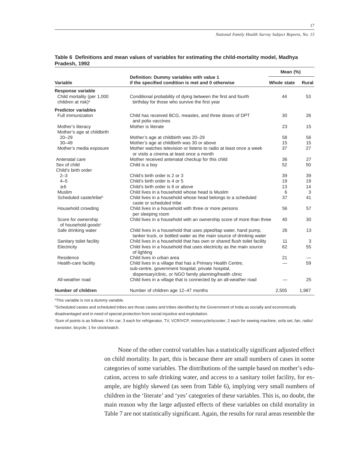|                                                              |                                                                                                                                         | Mean (%)           |       |  |
|--------------------------------------------------------------|-----------------------------------------------------------------------------------------------------------------------------------------|--------------------|-------|--|
| Variable                                                     | Definition: Dummy variables with value 1<br>if the specified condition is met and 0 otherwise                                           | <b>Whole state</b> | Rural |  |
| Response variable                                            |                                                                                                                                         |                    |       |  |
| Child mortality (per 1,000<br>children at risk) <sup>a</sup> | Conditional probability of dying between the first and fourth<br>birthday for those who survive the first year                          | 44                 | 53    |  |
| <b>Predictor variables</b>                                   |                                                                                                                                         |                    |       |  |
| Full immunization                                            | Child has received BCG, measles, and three doses of DPT<br>and polio vaccines                                                           | 30                 | 26    |  |
| Mother's literacy<br>Mother's age at childbirth              | Mother is literate                                                                                                                      | 23                 | 15    |  |
| $20 - 29$                                                    | Mother's age at childbirth was 20-29                                                                                                    | 58                 | 56    |  |
| $30 - 49$                                                    | Mother's age at childbirth was 30 or above                                                                                              | 15                 | 15    |  |
| Mother's media exposure                                      | Mother watches television or listens to radio at least once a week<br>or visits a cinema at least once a month                          | 37                 | 27    |  |
| Antenatal care                                               | Mother received antenatal checkup for this child                                                                                        | 36                 | 27    |  |
| Sex of child                                                 | Child is a boy                                                                                                                          | 52                 | 50    |  |
| Child's birth order                                          |                                                                                                                                         |                    |       |  |
| $2 - 3$                                                      | Child's birth order is 2 or 3                                                                                                           | 39                 | 39    |  |
| $4 - 5$                                                      | Child's birth order is 4 or 5                                                                                                           | 19                 | 19    |  |
| $\geq 6$                                                     | Child's birth order is 6 or above                                                                                                       | 13                 | 14    |  |
| Muslim                                                       | Child lives in a household whose head is Muslim                                                                                         | 6                  | 3     |  |
| Scheduled caste/tribeb                                       | Child lives in a household whose head belongs to a scheduled<br>caste or scheduled tribe                                                | 37                 | 41    |  |
| Household crowding                                           | Child lives in a household with three or more persons<br>per sleeping room                                                              | 56                 | 57    |  |
| Score for ownership<br>of household goods <sup>c</sup>       | Child lives in a household with an ownership score of more than three                                                                   | 40                 | 30    |  |
| Safe drinking water                                          | Child lives in a household that uses piped/tap water, hand pump,<br>tanker truck, or bottled water as the main source of drinking water | 26                 | 13    |  |
| Sanitary toilet facility                                     | Child lives in a household that has own or shared flush toilet facility                                                                 | 11                 | 3     |  |
| Electricity                                                  | Child lives in a household that uses electricity as the main source<br>of lighting                                                      | 62                 | 55    |  |
| Residence                                                    | Child lives in urban area                                                                                                               | 21                 |       |  |
| Health-care facility                                         | Child lives in a village that has a Primary Health Centre,<br>sub-centre, government hospital, private hospital,                        |                    | 59    |  |
| All-weather road                                             | dispensary/clinic, or NGO family planning/health clinic<br>Child lives in a village that is connected by an all-weather road            |                    | 25    |  |
| Number of children                                           | Number of children age 12-47 months                                                                                                     | 2,505              | 1,987 |  |

#### **Table 6 Definitions and mean values of variables for estimating the child-mortality model, Madhya Pradesh, 1992**

<sup>a</sup>This variable is not a dummy variable.

b Scheduled castes and scheduled tribes are those castes and tribes identified by the Government of India as socially and economically disadvantaged and in need of special protection from social injustice and exploitation.

c Sum of points is as follows: 4 for car; 3 each for refrigerator, TV, VCR/VCP, motorcycle/scooter; 2 each for sewing machine, sofa set, fan, radio/ transistor, bicycle; 1 for clock/watch.

> None of the other control variables has a statistically significant adjusted effect on child mortality. In part, this is because there are small numbers of cases in some categories of some variables. The distributions of the sample based on mother's education, access to safe drinking water, and access to a sanitary toilet facility, for example, are highly skewed (as seen from Table 6), implying very small numbers of children in the 'literate' and 'yes' categories of these variables. This is, no doubt, the main reason why the large adjusted effects of these variables on child mortality in Table 7 are not statistically significant. Again, the results for rural areas resemble the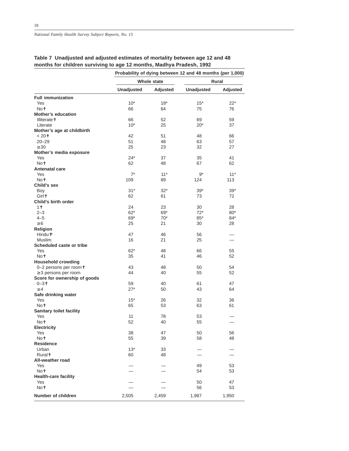|                                 | Probability of dying between 12 and 48 months (per 1,000) |                 |                   |          |  |
|---------------------------------|-----------------------------------------------------------|-----------------|-------------------|----------|--|
|                                 | Whole state                                               |                 | Rural             |          |  |
|                                 | <b>Unadjusted</b>                                         | <b>Adjusted</b> | <b>Unadjusted</b> | Adjusted |  |
| <b>Full immunization</b>        |                                                           |                 |                   |          |  |
| Yes                             | $10*$                                                     | $18*$           | $15*$             | $22*$    |  |
| Not                             | 66                                                        | 64              | 75                | 76       |  |
| <b>Mother's education</b>       |                                                           |                 |                   |          |  |
| Illiterate+                     | 66                                                        | 52              | 69                | 59       |  |
| Literate                        | $10*$                                                     | 25              | $20*$             | 37       |  |
| Mother's age at childbirth      |                                                           |                 |                   |          |  |
| < 20†                           | 42                                                        | 51              | 48                | 66       |  |
| $20 - 29$                       | 51                                                        | 48              | 63                | 57       |  |
| $\geq 30$                       | 25                                                        | 23              | 32                | 27       |  |
| Mother's media exposure         |                                                           |                 |                   |          |  |
| Yes                             | $24*$                                                     | 37              | 35                | 41       |  |
| Not                             | 62                                                        | 48              | 67                | 62       |  |
| <b>Antenatal care</b>           |                                                           |                 |                   |          |  |
| Yes                             | $7^*$                                                     | $11*$           | $9*$              | $11*$    |  |
| Not                             | 109                                                       | 89              | 124               | 113      |  |
| Child's sex                     |                                                           |                 |                   |          |  |
| Boy                             | $31*$                                                     | $32*$           | $39*$             | $39*$    |  |
| Girl <sup>+</sup>               | 62                                                        | 61              | 73                | 72       |  |
| Child's birth order             |                                                           |                 |                   |          |  |
| 1 <sup>†</sup>                  | 24                                                        | 23              | 30                | 28       |  |
| $2 - 3$                         | $62*$                                                     | $69*$           | $72*$             | $80*$    |  |
| $4 - 5$                         | $69*$                                                     | $70*$           | $85*$             | 84*      |  |
| $\geq 6$                        | 25                                                        | 21              | 30                | 28       |  |
| <b>Religion</b>                 |                                                           |                 |                   |          |  |
| Hindu <sup>+</sup> <sup>a</sup> | 47                                                        | 46              | 56                |          |  |
| <b>Muslim</b>                   | 16                                                        | 21              | 25                |          |  |
| Scheduled caste or tribe        |                                                           |                 |                   |          |  |
| Yes                             | $62*$                                                     | 48              | 66                | 55       |  |
| Not                             | 35                                                        | 41              | 46                | 52       |  |
| <b>Household crowding</b>       |                                                           |                 |                   |          |  |
| 0-2 persons per roomt           | 43                                                        | 48              | 50                | 54       |  |
| $\geq$ 3 persons per room       | 44                                                        | 40              | 55                | 52       |  |
| Score for ownership of goods    |                                                           |                 |                   |          |  |
| $0 - 31$                        | 59                                                        | 40              | 61                | 47       |  |
| $\geq 4$                        | $27*$                                                     | 50              | 43                | 64       |  |
| Safe drinking water             |                                                           |                 |                   |          |  |
| Yes                             | $15*$                                                     | 26              | 32                | 36       |  |
| Not                             | 65                                                        | 53              | 63                | 61       |  |
| <b>Sanitary toilet facility</b> |                                                           |                 |                   |          |  |
| Yes                             | 11                                                        | 78              | 53                |          |  |
| Not                             | 52                                                        | 40              | 55                |          |  |
| <b>Electricity</b>              |                                                           |                 |                   |          |  |
| Yes                             | 38                                                        | 47              | 50                | 56       |  |
| Not                             | 55                                                        | 39              | 58                | 48       |  |
| <b>Residence</b>                |                                                           |                 |                   |          |  |
| Urban                           | $13*$                                                     | 33              |                   |          |  |
| Ruralt                          | 60                                                        | 48              |                   |          |  |
| All-weather road                |                                                           |                 |                   |          |  |
| Yes                             |                                                           |                 | 49                | 53       |  |
| Not                             |                                                           |                 | 54                | 53       |  |
| <b>Health-care facility</b>     |                                                           |                 |                   |          |  |
| Yes                             |                                                           |                 | 50                | 47       |  |
| Not                             |                                                           |                 | 56                | 53       |  |
|                                 |                                                           |                 |                   |          |  |
| Number of children              | 2,505                                                     | 2,459           | 1,987             | 1,950    |  |

# **Table 7 Unadjusted and adjusted estimates of mortality between age 12 and 48 months for children surviving to age 12 months, Madhya Pradesh, 1992**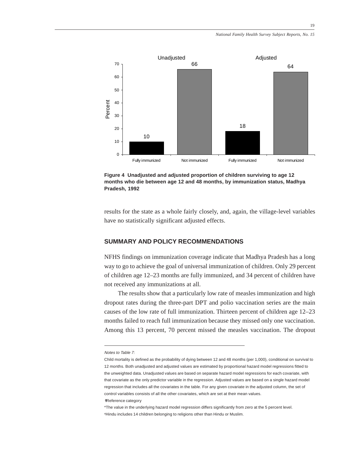

**Figure 4 Unadjusted and adjusted proportion of children surviving to age 12 months who die between age 12 and 48 months, by immunization status, Madhya Pradesh, 1992**

results for the state as a whole fairly closely, and, again, the village-level variables have no statistically significant adjusted effects.

# **SUMMARY AND POLICY RECOMMENDATIONS**

NFHS findings on immunization coverage indicate that Madhya Pradesh has a long way to go to achieve the goal of universal immunization of children. Only 29 percent of children age 12–23 months are fully immunized, and 34 percent of children have not received any immunizations at all.

The results show that a particularly low rate of measles immunization and high dropout rates during the three-part DPT and polio vaccination series are the main causes of the low rate of full immunization. Thirteen percent of children age 12–23 months failed to reach full immunization because they missed only one vaccination. Among this 13 percent, 70 percent missed the measles vaccination. The dropout

Notes to Table 7:

Child mortality is defined as the probability of dying between 12 and 48 months (per 1,000), conditional on survival to 12 months. Both unadjusted and adjusted values are estimated by proportional hazard model regressions fitted to the unweighted data. Unadjusted values are based on separate hazard model regressions for each covariate, with that covariate as the only predictor variable in the regression. Adjusted values are based on a single hazard model regression that includes all the covariates in the table. For any given covariate in the adjusted column, the set of control variables consists of all the other covariates, which are set at their mean values. ✝Reference category

<sup>\*</sup>The value in the underlying hazard model regression differs significantly from zero at the 5 percent level. <sup>a</sup>Hindu includes 14 children belonging to religions other than Hindu or Muslim.